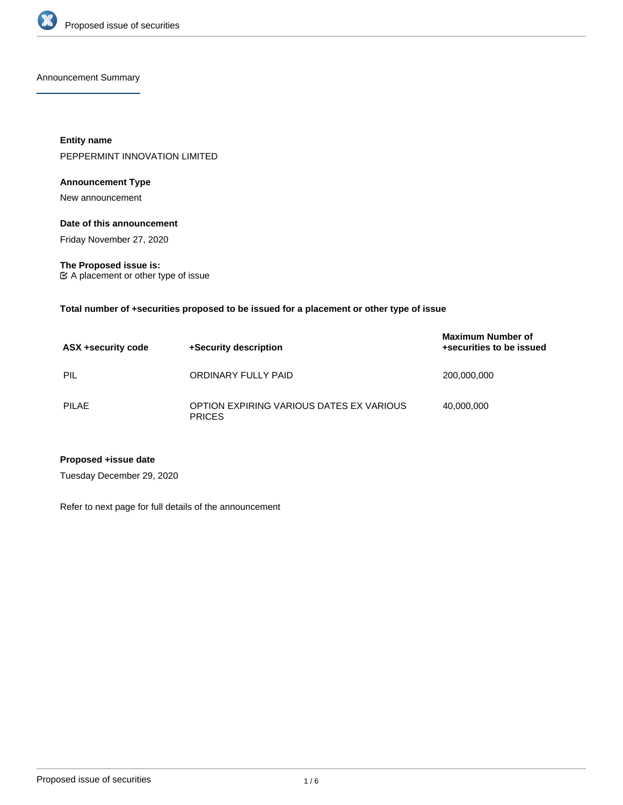

Announcement Summary

**Entity name** PEPPERMINT INNOVATION LIMITED

# **Announcement Type**

New announcement

### **Date of this announcement**

Friday November 27, 2020

**The Proposed issue is:** A placement or other type of issue

**Total number of +securities proposed to be issued for a placement or other type of issue**

| ASX +security code | +Security description                                     | <b>Maximum Number of</b><br>+securities to be issued |
|--------------------|-----------------------------------------------------------|------------------------------------------------------|
| PIL                | ORDINARY FULLY PAID                                       | 200,000,000                                          |
| PILAE              | OPTION EXPIRING VARIOUS DATES EX VARIOUS<br><b>PRICES</b> | 40.000.000                                           |

# **Proposed +issue date**

Tuesday December 29, 2020

Refer to next page for full details of the announcement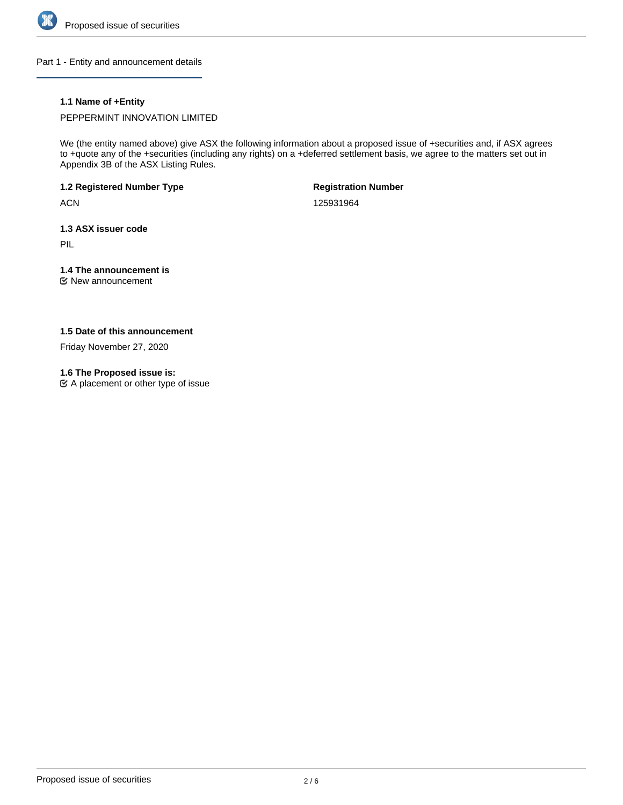

Part 1 - Entity and announcement details

# **1.1 Name of +Entity**

PEPPERMINT INNOVATION LIMITED

We (the entity named above) give ASX the following information about a proposed issue of +securities and, if ASX agrees to +quote any of the +securities (including any rights) on a +deferred settlement basis, we agree to the matters set out in Appendix 3B of the ASX Listing Rules.

**1.2 Registered Number Type**

**ACN** 

**Registration Number**

125931964

**1.3 ASX issuer code**

PIL

# **1.4 The announcement is**

New announcement

# **1.5 Date of this announcement**

Friday November 27, 2020

# **1.6 The Proposed issue is:**

A placement or other type of issue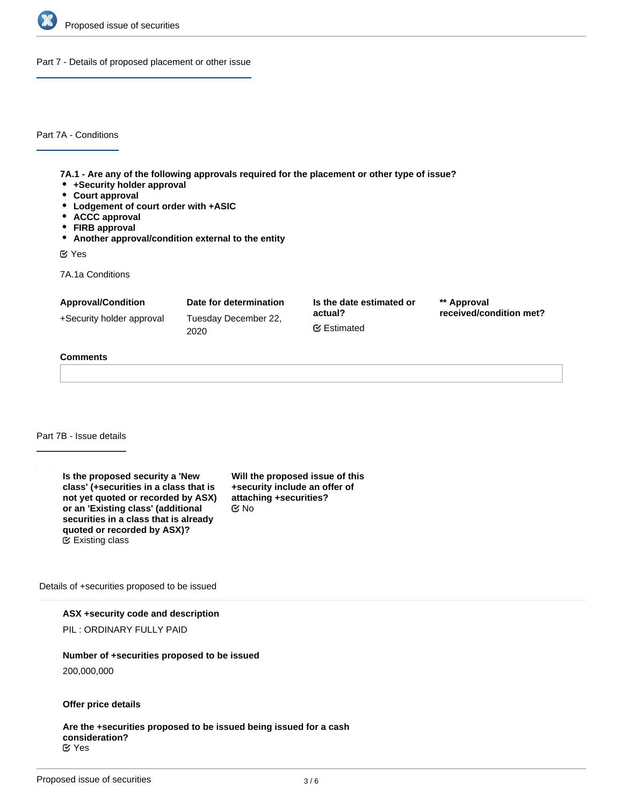

Part 7 - Details of proposed placement or other issue

Part 7A - Conditions

**7A.1 - Are any of the following approvals required for the placement or other type of issue?**

- **+Security holder approval**
- **Court approval**
- **Lodgement of court order with +ASIC**
- **ACCC approval**
- **FIRB approval**
- **Another approval/condition external to the entity**

Yes

7A.1a Conditions

| <b>Approval/Condition</b> | Date for determination       | Is the date estimated or       | ** Approval             |
|---------------------------|------------------------------|--------------------------------|-------------------------|
| +Security holder approval | Tuesday December 22,<br>2020 | actual?<br><b></b> ■ Estimated | received/condition met? |
|                           |                              |                                |                         |

### **Comments**

Part 7B - Issue details

**Is the proposed security a 'New class' (+securities in a class that is not yet quoted or recorded by ASX) or an 'Existing class' (additional securities in a class that is already quoted or recorded by ASX)?** Existing class

**Will the proposed issue of this +security include an offer of attaching +securities?** No

Details of +securities proposed to be issued

**ASX +security code and description**

PIL : ORDINARY FULLY PAID

#### **Number of +securities proposed to be issued**

200,000,000

### **Offer price details**

**Are the +securities proposed to be issued being issued for a cash consideration?** Yes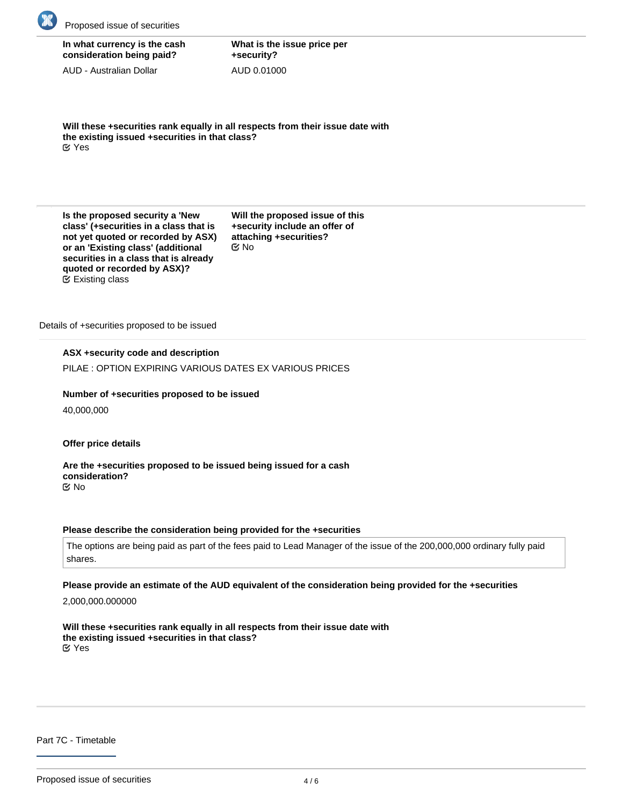

| In what currency is the cash |  |
|------------------------------|--|
| consideration being paid?    |  |

AUD - Australian Dollar

**What is the issue price per +security?** AUD 0.01000

**Will these +securities rank equally in all respects from their issue date with the existing issued +securities in that class?** Yes

**Is the proposed security a 'New class' (+securities in a class that is not yet quoted or recorded by ASX) or an 'Existing class' (additional securities in a class that is already quoted or recorded by ASX)?** Existing class

**Will the proposed issue of this +security include an offer of attaching +securities?** No

Details of +securities proposed to be issued

# **ASX +security code and description**

PILAE : OPTION EXPIRING VARIOUS DATES EX VARIOUS PRICES

**Number of +securities proposed to be issued**

40,000,000

**Offer price details**

**Are the +securities proposed to be issued being issued for a cash consideration?** No

#### **Please describe the consideration being provided for the +securities**

The options are being paid as part of the fees paid to Lead Manager of the issue of the 200,000,000 ordinary fully paid shares.

### **Please provide an estimate of the AUD equivalent of the consideration being provided for the +securities**

2,000,000.000000

**Will these +securities rank equally in all respects from their issue date with the existing issued +securities in that class?** Yes

Part 7C - Timetable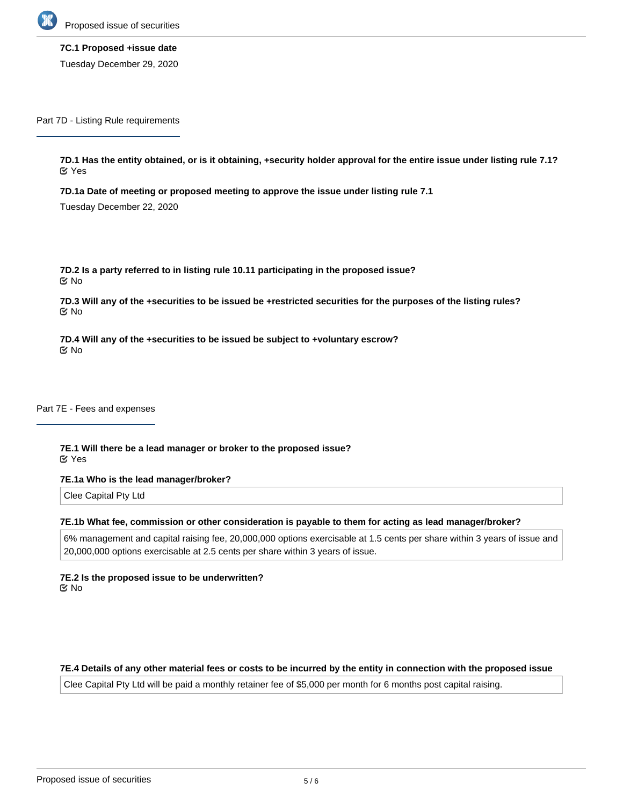

**7C.1 Proposed +issue date** Tuesday December 29, 2020

Part 7D - Listing Rule requirements

**7D.1 Has the entity obtained, or is it obtaining, +security holder approval for the entire issue under listing rule 7.1?** Yes

**7D.1a Date of meeting or proposed meeting to approve the issue under listing rule 7.1**

Tuesday December 22, 2020

**7D.2 Is a party referred to in listing rule 10.11 participating in the proposed issue?** No

**7D.3 Will any of the +securities to be issued be +restricted securities for the purposes of the listing rules?** No

**7D.4 Will any of the +securities to be issued be subject to +voluntary escrow?** No

Part 7E - Fees and expenses

**7E.1 Will there be a lead manager or broker to the proposed issue?** Yes

**7E.1a Who is the lead manager/broker?**

Clee Capital Pty Ltd

#### **7E.1b What fee, commission or other consideration is payable to them for acting as lead manager/broker?**

6% management and capital raising fee, 20,000,000 options exercisable at 1.5 cents per share within 3 years of issue and 20,000,000 options exercisable at 2.5 cents per share within 3 years of issue.

**7E.2 Is the proposed issue to be underwritten?** No

#### **7E.4 Details of any other material fees or costs to be incurred by the entity in connection with the proposed issue**

Clee Capital Pty Ltd will be paid a monthly retainer fee of \$5,000 per month for 6 months post capital raising.